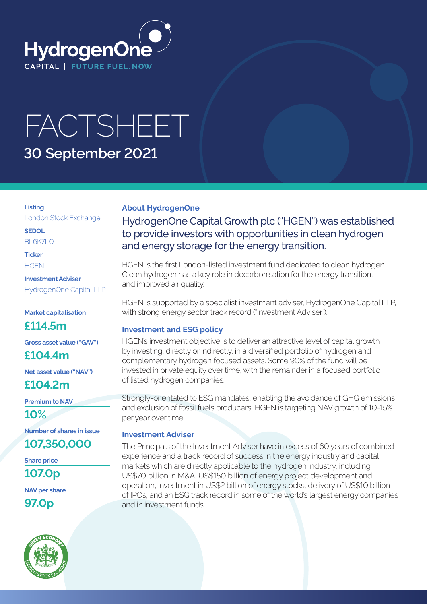

# FACTSHEET **30 September 2021**

#### **Listing**

London Stock Exchange

**SEDOL**

BL6K7LO

**Ticker**

**HGEN** 

**Investment Adviser** HydrogenOne Capital LLP

#### **Market capitalisation**

**£114.5m**

**Gross asset value ("GAV")**

**£104.4m**

**Net asset value ("NAV")**

**£104.2m**

**Premium to NAV**

**10%**

**Number of shares in issue**

**107,350,000**

**Share price 107.0p**

**NAV per share**

**97.0p**



### **About HydrogenOne**

HydrogenOne Capital Growth plc ("HGEN") was established to provide investors with opportunities in clean hydrogen and energy storage for the energy transition.

HGEN is the first London-listed investment fund dedicated to clean hydrogen. Clean hydrogen has a key role in decarbonisation for the energy transition, and improved air quality.

HGEN is supported by a specialist investment adviser, HydrogenOne Capital LLP, with strong energy sector track record ("Investment Adviser").

#### **Investment and ESG policy**

HGEN's investment objective is to deliver an attractive level of capital growth by investing, directly or indirectly, in a diversified portfolio of hydrogen and complementary hydrogen focused assets. Some 90% of the fund will be invested in private equity over time, with the remainder in a focused portfolio of listed hydrogen companies.

Strongly-orientated to ESG mandates, enabling the avoidance of GHG emissions and exclusion of fossil fuels producers, HGEN is targeting NAV growth of 10-15% per year over time.

#### **Investment Adviser**

The Principals of the Investment Adviser have in excess of 60 years of combined experience and a track record of success in the energy industry and capital markets which are directly applicable to the hydrogen industry, including US\$70 billion in M&A, US\$150 billion of energy project development and operation, investment in US\$2 billion of energy stocks, delivery of US\$10 billion of IPOs, and an ESG track record in some of the world's largest energy companies and in investment funds.